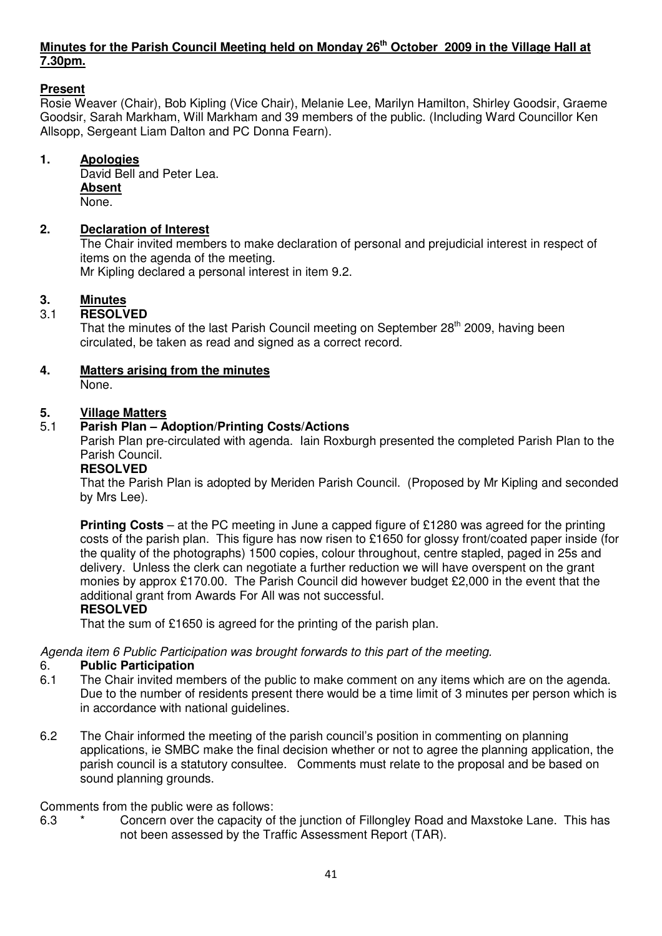# **Minutes for the Parish Council Meeting held on Monday 26th October 2009 in the Village Hall at 7.30pm.**

# **Present**

Rosie Weaver (Chair), Bob Kipling (Vice Chair), Melanie Lee, Marilyn Hamilton, Shirley Goodsir, Graeme Goodsir, Sarah Markham, Will Markham and 39 members of the public. (Including Ward Councillor Ken Allsopp, Sergeant Liam Dalton and PC Donna Fearn).

# **1. Apologies**

David Bell and Peter Lea.  **Absent** None.

# **2. Declaration of Interest**

The Chair invited members to make declaration of personal and prejudicial interest in respect of items on the agenda of the meeting.

Mr Kipling declared a personal interest in item 9.2.

# **3. Minutes**<br>3.1 **RESOLV**

# 3.1 **RESOLVED**

That the minutes of the last Parish Council meeting on September 28<sup>th</sup> 2009, having been circulated, be taken as read and signed as a correct record.

# **4. Matters arising from the minutes**

None.

# **5. Village Matters**

# 5.1 **Parish Plan – Adoption/Printing Costs/Actions**

Parish Plan pre-circulated with agenda. Iain Roxburgh presented the completed Parish Plan to the Parish Council.

# **RESOLVED**

That the Parish Plan is adopted by Meriden Parish Council. (Proposed by Mr Kipling and seconded by Mrs Lee).

**Printing Costs** – at the PC meeting in June a capped figure of £1280 was agreed for the printing costs of the parish plan. This figure has now risen to £1650 for glossy front/coated paper inside (for the quality of the photographs) 1500 copies, colour throughout, centre stapled, paged in 25s and delivery. Unless the clerk can negotiate a further reduction we will have overspent on the grant monies by approx £170.00. The Parish Council did however budget £2,000 in the event that the additional grant from Awards For All was not successful.

# **RESOLVED**

That the sum of £1650 is agreed for the printing of the parish plan.

Agenda item 6 Public Participation was brought forwards to this part of the meeting.

#### 6. **Public Participation**

- 6.1 The Chair invited members of the public to make comment on any items which are on the agenda. Due to the number of residents present there would be a time limit of 3 minutes per person which is in accordance with national guidelines.
- 6.2 The Chair informed the meeting of the parish council's position in commenting on planning applications, ie SMBC make the final decision whether or not to agree the planning application, the parish council is a statutory consultee. Comments must relate to the proposal and be based on sound planning grounds.

#### Comments from the public were as follows:

6.3  $*$  Concern over the capacity of the junction of Fillongley Road and Maxstoke Lane. This has not been assessed by the Traffic Assessment Report (TAR).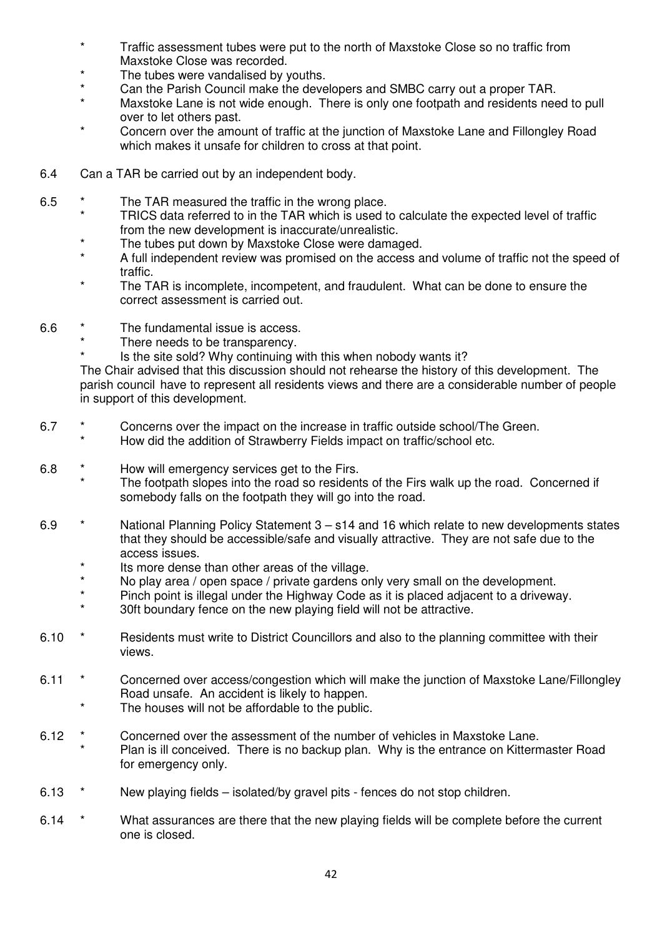- \* Traffic assessment tubes were put to the north of Maxstoke Close so no traffic from Maxstoke Close was recorded.
- \* The tubes were vandalised by youths.
- Can the Parish Council make the developers and SMBC carry out a proper TAR.
- Maxstoke Lane is not wide enough. There is only one footpath and residents need to pull over to let others past.
- Concern over the amount of traffic at the junction of Maxstoke Lane and Fillongley Road which makes it unsafe for children to cross at that point.
- 6.4 Can a TAR be carried out by an independent body.
- 6.5  $*$  The TAR measured the traffic in the wrong place.
	- TRICS data referred to in the TAR which is used to calculate the expected level of traffic from the new development is inaccurate/unrealistic.
	- The tubes put down by Maxstoke Close were damaged.
	- A full independent review was promised on the access and volume of traffic not the speed of traffic.
	- The TAR is incomplete, incompetent, and fraudulent. What can be done to ensure the correct assessment is carried out.
- 6.6 \* The fundamental issue is access.
	- \* There needs to be transparency.
		- Is the site sold? Why continuing with this when nobody wants it?

 The Chair advised that this discussion should not rehearse the history of this development. The parish council have to represent all residents views and there are a considerable number of people in support of this development.

- 6.7  $*$  Concerns over the impact on the increase in traffic outside school/The Green.
	- How did the addition of Strawberry Fields impact on traffic/school etc.
- 6.8 \* How will emergency services get to the Firs.
	- The footpath slopes into the road so residents of the Firs walk up the road. Concerned if somebody falls on the footpath they will go into the road.
- 6.9 \* National Planning Policy Statement 3 s14 and 16 which relate to new developments states that they should be accessible/safe and visually attractive. They are not safe due to the access issues.
	- \* Its more dense than other areas of the village.<br>No play area (apop appea) rivide aprilers at
	- No play area / open space / private gardens only very small on the development.
	- Pinch point is illegal under the Highway Code as it is placed adjacent to a driveway.
	- 30ft boundary fence on the new playing field will not be attractive.
- 6.10  $*$  Residents must write to District Councillors and also to the planning committee with their views.
- 6.11  $*$  Concerned over access/congestion which will make the junction of Maxstoke Lane/Fillongley Road unsafe. An accident is likely to happen.
	- The houses will not be affordable to the public.
- 6.12 \* Concerned over the assessment of the number of vehicles in Maxstoke Lane.
	- Plan is ill conceived. There is no backup plan. Why is the entrance on Kittermaster Road for emergency only.
- 6.13 \* New playing fields isolated/by gravel pits fences do not stop children.
- 6.14  $*$  What assurances are there that the new playing fields will be complete before the current one is closed.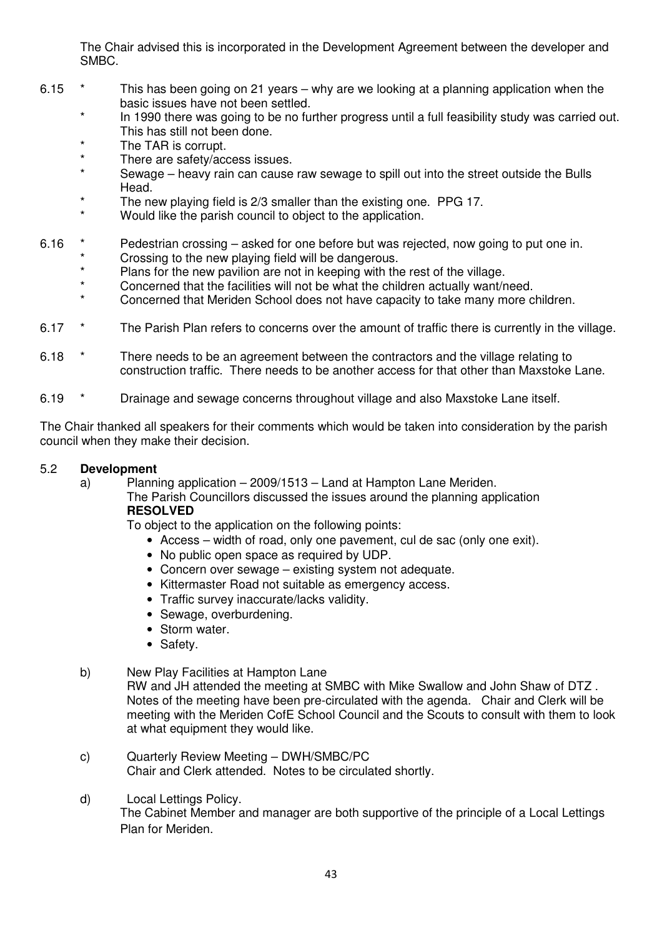The Chair advised this is incorporated in the Development Agreement between the developer and SMBC.

- 6.15  $*$  This has been going on 21 years why are we looking at a planning application when the basic issues have not been settled.
	- In 1990 there was going to be no further progress until a full feasibility study was carried out. This has still not been done.
	- The TAR is corrupt.
	- There are safety/access issues.
	- Sewage heavy rain can cause raw sewage to spill out into the street outside the Bulls Head.
	- The new playing field is 2/3 smaller than the existing one. PPG 17.
	- Would like the parish council to object to the application.
- 6.16 \* Pedestrian crossing asked for one before but was rejected, now going to put one in.
	- \* Crossing to the new playing field will be dangerous.<br>Notation for the new position are not in keeping with the
	- \* Plans for the new pavilion are not in keeping with the rest of the village.
	- Concerned that the facilities will not be what the children actually want/need.
	- Concerned that Meriden School does not have capacity to take many more children.
- 6.17 \* The Parish Plan refers to concerns over the amount of traffic there is currently in the village.
- 6.18  $*$  There needs to be an agreement between the contractors and the village relating to construction traffic. There needs to be another access for that other than Maxstoke Lane.
- 6.19 \* Drainage and sewage concerns throughout village and also Maxstoke Lane itself.

The Chair thanked all speakers for their comments which would be taken into consideration by the parish council when they make their decision.

# 5.2 **Development**

 a) Planning application – 2009/1513 – Land at Hampton Lane Meriden. The Parish Councillors discussed the issues around the planning application **RESOLVED** 

To object to the application on the following points:

- Access width of road, only one pavement, cul de sac (only one exit).
- No public open space as required by UDP.
- Concern over sewage existing system not adequate.
- Kittermaster Road not suitable as emergency access.
- Traffic survey inaccurate/lacks validity.
- Sewage, overburdening.
- Storm water.
- Safety.

#### b) New Play Facilities at Hampton Lane

 RW and JH attended the meeting at SMBC with Mike Swallow and John Shaw of DTZ . Notes of the meeting have been pre-circulated with the agenda. Chair and Clerk will be meeting with the Meriden CofE School Council and the Scouts to consult with them to look at what equipment they would like.

- c) Quarterly Review Meeting DWH/SMBC/PC Chair and Clerk attended. Notes to be circulated shortly.
- d) Local Lettings Policy.

 The Cabinet Member and manager are both supportive of the principle of a Local Lettings Plan for Meriden.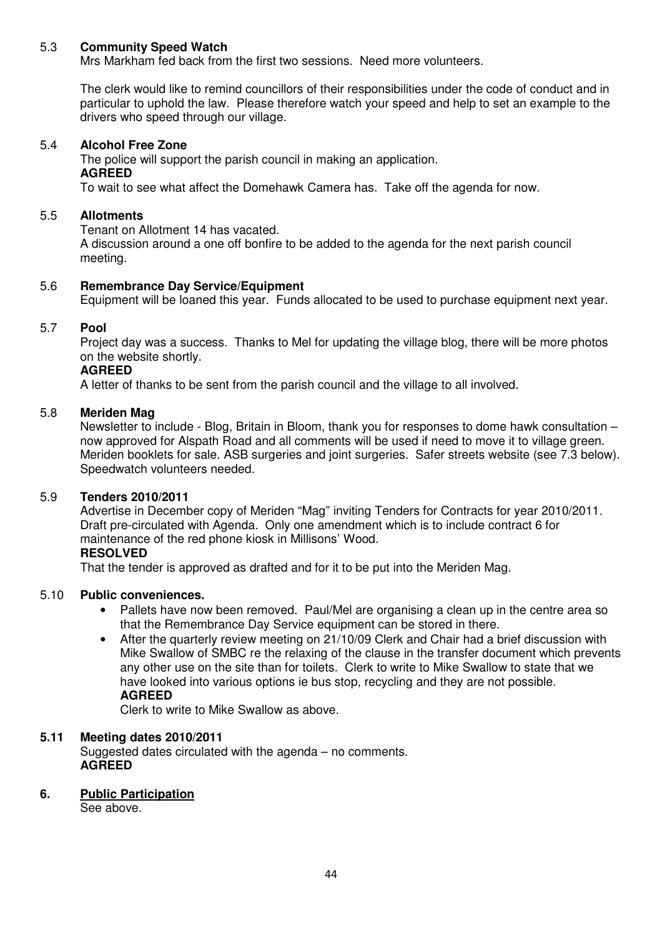#### 5.3 **Community Speed Watch**

Mrs Markham fed back from the first two sessions. Need more volunteers.

 The clerk would like to remind councillors of their responsibilities under the code of conduct and in particular to uphold the law. Please therefore watch your speed and help to set an example to the drivers who speed through our village.

#### 5.4 **Alcohol Free Zone**

 The police will support the parish council in making an application. **AGREED** 

To wait to see what affect the Domehawk Camera has. Take off the agenda for now.

### 5.5 **Allotments**

Tenant on Allotment 14 has vacated.

 A discussion around a one off bonfire to be added to the agenda for the next parish council meeting.

# 5.6 **Remembrance Day Service/Equipment**

Equipment will be loaned this year. Funds allocated to be used to purchase equipment next year.

#### 5.7 **Pool**

 Project day was a success. Thanks to Mel for updating the village blog, there will be more photos on the website shortly.

#### **AGREED**

A letter of thanks to be sent from the parish council and the village to all involved.

# 5.8 **Meriden Mag**

 Newsletter to include - Blog, Britain in Bloom, thank you for responses to dome hawk consultation – now approved for Alspath Road and all comments will be used if need to move it to village green. Meriden booklets for sale. ASB surgeries and joint surgeries. Safer streets website (see 7.3 below). Speedwatch volunteers needed.

#### 5.9 **Tenders 2010/2011**

 Advertise in December copy of Meriden "Mag" inviting Tenders for Contracts for year 2010/2011. Draft pre-circulated with Agenda. Only one amendment which is to include contract 6 for maintenance of the red phone kiosk in Millisons' Wood.

#### **RESOLVED**

That the tender is approved as drafted and for it to be put into the Meriden Mag.

#### 5.10 **Public conveniences.**

- Pallets have now been removed. Paul/Mel are organising a clean up in the centre area so that the Remembrance Day Service equipment can be stored in there.
- After the quarterly review meeting on 21/10/09 Clerk and Chair had a brief discussion with Mike Swallow of SMBC re the relaxing of the clause in the transfer document which prevents any other use on the site than for toilets. Clerk to write to Mike Swallow to state that we have looked into various options ie bus stop, recycling and they are not possible. **AGREED**

Clerk to write to Mike Swallow as above.

#### **5.11 Meeting dates 2010/2011**

 Suggested dates circulated with the agenda – no comments. **AGREED** 

#### **6. Public Participation**

See above.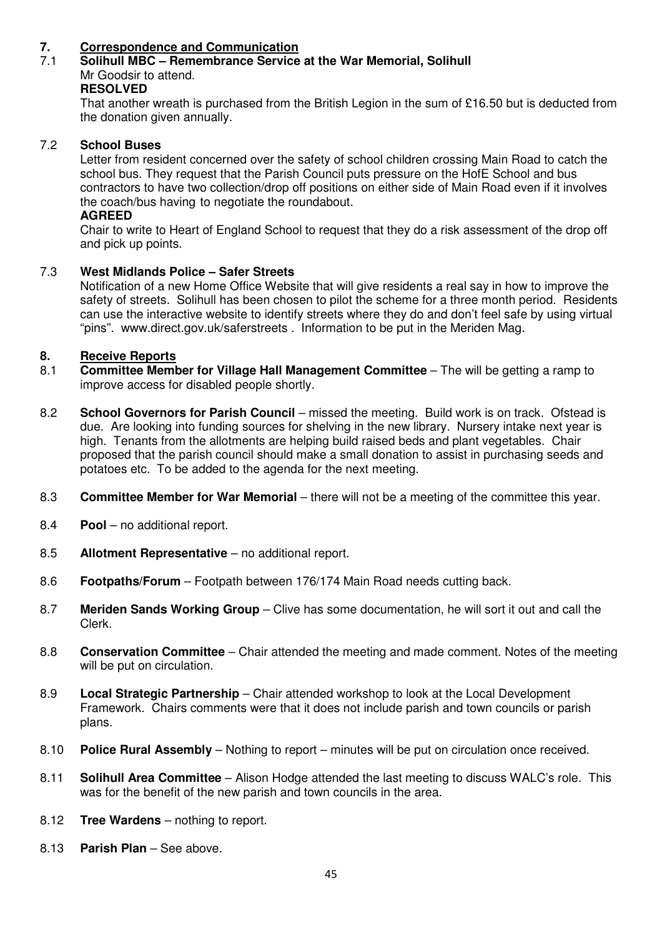# **7.** Correspondence and Communication<br>**7.1** Solibull MBC – Remembrance Service

# 7.1 **Solihull MBC – Remembrance Service at the War Memorial, Solihull**  Mr Goodsir to attend.

#### **RESOLVED**

 That another wreath is purchased from the British Legion in the sum of £16.50 but is deducted from the donation given annually.

#### 7.2 **School Buses**

 Letter from resident concerned over the safety of school children crossing Main Road to catch the school bus. They request that the Parish Council puts pressure on the HofE School and bus contractors to have two collection/drop off positions on either side of Main Road even if it involves the coach/bus having to negotiate the roundabout.

### **AGREED**

 Chair to write to Heart of England School to request that they do a risk assessment of the drop off and pick up points.

# 7.3 **West Midlands Police – Safer Streets**

Notification of a new Home Office Website that will give residents a real say in how to improve the safety of streets. Solihull has been chosen to pilot the scheme for a three month period. Residents can use the interactive website to identify streets where they do and don't feel safe by using virtual "pins". www.direct.gov.uk/saferstreets . Information to be put in the Meriden Mag.

- **8. Receive Reports**<br>**8.1** Committee Memb 8.1 **Committee Member for Village Hall Management Committee** – The will be getting a ramp to improve access for disabled people shortly.
- 8.2 **School Governors for Parish Council** missed the meeting. Build work is on track. Ofstead is due. Are looking into funding sources for shelving in the new library. Nursery intake next year is high. Tenants from the allotments are helping build raised beds and plant vegetables. Chair proposed that the parish council should make a small donation to assist in purchasing seeds and potatoes etc. To be added to the agenda for the next meeting.
- 8.3 **Committee Member for War Memorial** there will not be a meeting of the committee this year.
- 8.4 **Pool** no additional report.
- 8.5 **Allotment Representative** no additional report.
- 8.6 **Footpaths/Forum**  Footpath between 176/174 Main Road needs cutting back.
- 8.7 **Meriden Sands Working Group** Clive has some documentation, he will sort it out and call the Clerk.
- 8.8 **Conservation Committee**  Chair attended the meeting and made comment. Notes of the meeting will be put on circulation.
- 8.9 **Local Strategic Partnership**  Chair attended workshop to look at the Local Development Framework. Chairs comments were that it does not include parish and town councils or parish plans.
- 8.10 **Police Rural Assembly** Nothing to report minutes will be put on circulation once received.
- 8.11 **Solihull Area Committee**  Alison Hodge attended the last meeting to discuss WALC's role. This was for the benefit of the new parish and town councils in the area.
- 8.12 **Tree Wardens**  nothing to report.
- 8.13 **Parish Plan** See above.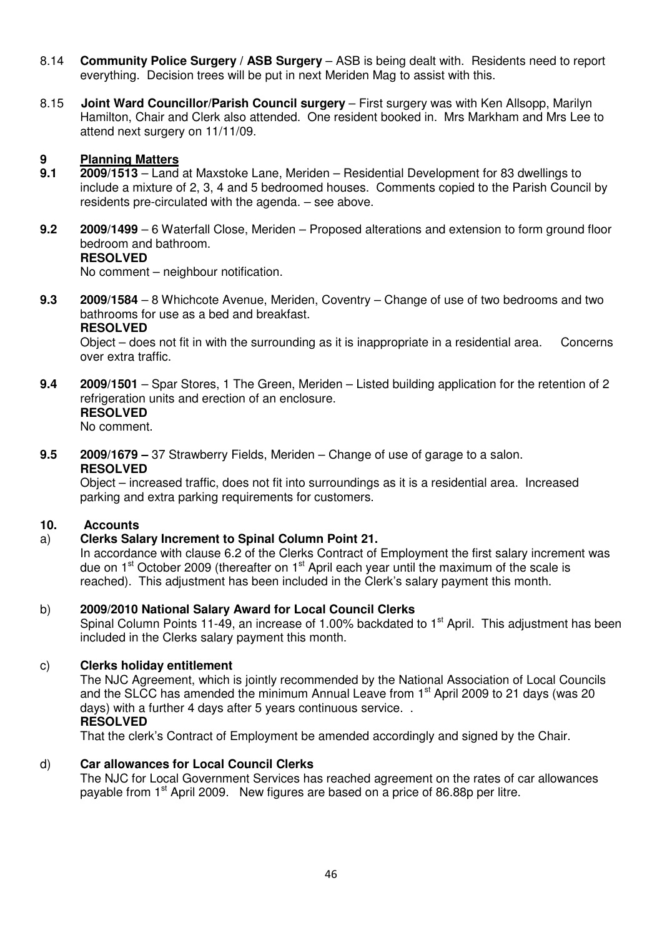- 8.14 **Community Police Surgery / ASB Surgery**  ASB is being dealt with. Residents need to report everything. Decision trees will be put in next Meriden Mag to assist with this.
- 8.15 **Joint Ward Councillor/Parish Council surgery**  First surgery was with Ken Allsopp, Marilyn Hamilton, Chair and Clerk also attended. One resident booked in. Mrs Markham and Mrs Lee to attend next surgery on 11/11/09.

# **9 Planning Matters**<br>**9.1 2009/1513 – Land**

- **9.1 2009/1513**  Land at Maxstoke Lane, Meriden Residential Development for 83 dwellings to include a mixture of 2, 3, 4 and 5 bedroomed houses. Comments copied to the Parish Council by residents pre-circulated with the agenda. – see above.
- **9.2 2009/1499**  6 Waterfall Close, Meriden Proposed alterations and extension to form ground floor bedroom and bathroom.  **RESOLVED**

No comment – neighbour notification.

**9.3 2009/1584** – 8 Whichcote Avenue, Meriden, Coventry – Change of use of two bedrooms and two bathrooms for use as a bed and breakfast.

#### **RESOLVED**

Object – does not fit in with the surrounding as it is inappropriate in a residential area. Concerns over extra traffic.

- **9.4 2009/1501**  Spar Stores, 1 The Green, Meriden Listed building application for the retention of 2 refrigeration units and erection of an enclosure. **RESOLVED** 
	-

No comment.

**9.5 2009/1679 –** 37 Strawberry Fields, Meriden – Change of use of garage to a salon.  **RESOLVED** 

Object – increased traffic, does not fit into surroundings as it is a residential area. Increased parking and extra parking requirements for customers.

# **10. Accounts**

# a) **Clerks Salary Increment to Spinal Column Point 21.**

In accordance with clause 6.2 of the Clerks Contract of Employment the first salary increment was due on  $1<sup>st</sup>$  October 2009 (thereafter on  $1<sup>st</sup>$  April each year until the maximum of the scale is reached). This adjustment has been included in the Clerk's salary payment this month.

#### b) **2009/2010 National Salary Award for Local Council Clerks**

Spinal Column Points 11-49, an increase of 1.00% backdated to  $1<sup>st</sup>$  April. This adjustment has been included in the Clerks salary payment this month.

#### c) **Clerks holiday entitlement**

 The NJC Agreement, which is jointly recommended by the National Association of Local Councils and the SLCC has amended the minimum Annual Leave from 1<sup>st</sup> April 2009 to 21 days (was 20 days) with a further 4 days after 5 years continuous service. . **RESOLVED** 

That the clerk's Contract of Employment be amended accordingly and signed by the Chair.

#### d) **Car allowances for Local Council Clerks**

 The NJC for Local Government Services has reached agreement on the rates of car allowances payable from 1<sup>st</sup> April 2009. New figures are based on a price of 86.88p per litre.